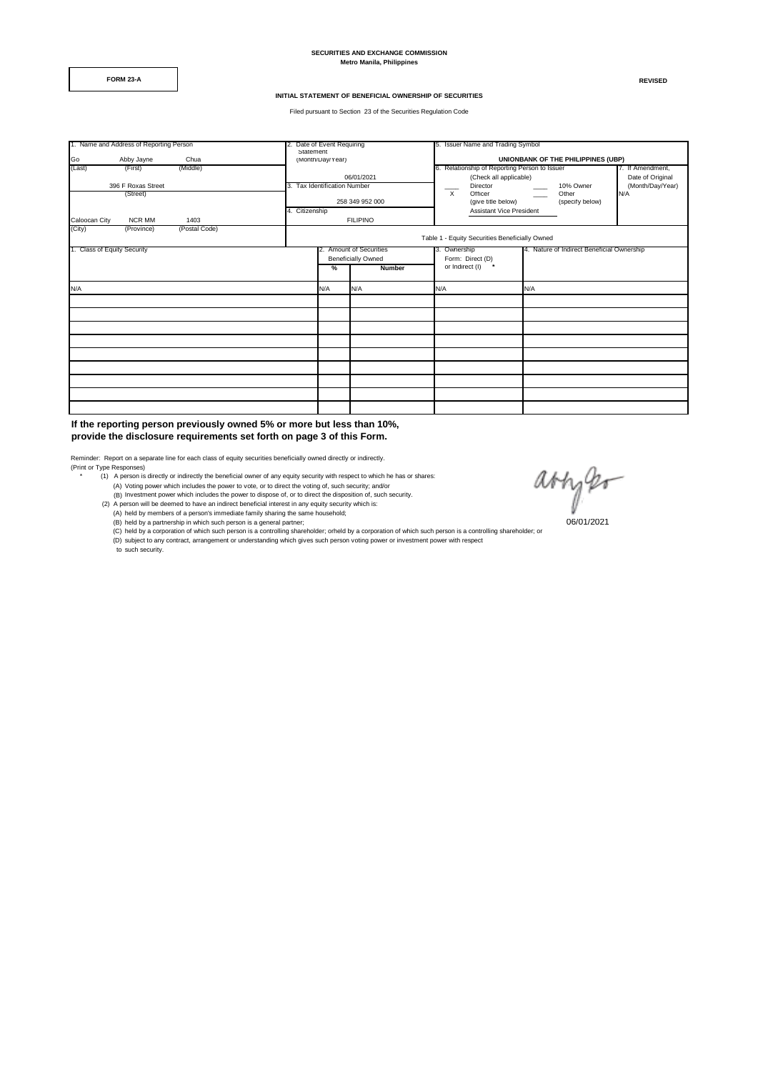**SECURITIES AND EXCHANGE COMMISSION Metro Manila, Philippines**

**FORM 23-A REVISED**

#### **INITIAL STATEMENT OF BENEFICIAL OWNERSHIP OF SECURITIES**

Filed pursuant to Section 23 of the Securities Regulation Code

| 1. Name and Address of Reporting Person |               |                                                |                | 2. Date of Event Requiring   |                           | 5. Issuer Name and Trading Symbol             |                               |  |  |  |
|-----------------------------------------|---------------|------------------------------------------------|----------------|------------------------------|---------------------------|-----------------------------------------------|-------------------------------|--|--|--|
|                                         |               |                                                | Statement      |                              |                           |                                               |                               |  |  |  |
| Go                                      | Abby Jayne    | Chua                                           |                | (Month/Day/Year)             |                           | UNIONBANK OF THE PHILIPPINES (UBP)            |                               |  |  |  |
| (Last)                                  | (First)       | (Middle)                                       |                |                              |                           | 6. Relationship of Reporting Person to Issuer | 7. If Amendment,              |  |  |  |
|                                         |               |                                                |                |                              | 06/01/2021                | Date of Original<br>(Check all applicable)    |                               |  |  |  |
| 396 F Roxas Street                      |               |                                                |                | 3. Tax Identification Number |                           | Director                                      | 10% Owner<br>(Month/Day/Year) |  |  |  |
| (Street)                                |               |                                                |                |                              |                           | $\times$<br>Officer                           | Other<br>N/A                  |  |  |  |
|                                         |               |                                                |                |                              | 258 349 952 000           | (give title below)                            | (specify below)               |  |  |  |
|                                         |               |                                                | 4. Citizenship |                              |                           | Assistant Vice President                      |                               |  |  |  |
| Caloocan City                           | <b>NCR MM</b> | 1403                                           |                |                              | <b>FILIPINO</b>           |                                               |                               |  |  |  |
| (City)                                  | (Province)    | (Postal Code)                                  |                |                              |                           |                                               |                               |  |  |  |
|                                         |               | Table 1 - Equity Securities Beneficially Owned |                |                              |                           |                                               |                               |  |  |  |
| 1. Class of Equity Security             |               |                                                |                | 2. Amount of Securities      | 3. Ownership              | 4. Nature of Indirect Beneficial Ownership    |                               |  |  |  |
|                                         |               |                                                |                |                              | <b>Beneficially Owned</b> | Form: Direct (D)                              |                               |  |  |  |
|                                         |               |                                                |                | <b>Number</b><br>%           |                           | $\pmb{\pi}$<br>or Indirect (I)                |                               |  |  |  |
|                                         |               |                                                |                |                              |                           |                                               |                               |  |  |  |
| N/A                                     |               |                                                |                | N/A                          | N/A                       | N/A                                           | N/A                           |  |  |  |
|                                         |               |                                                |                |                              |                           |                                               |                               |  |  |  |
|                                         |               |                                                |                |                              |                           |                                               |                               |  |  |  |
|                                         |               |                                                |                |                              |                           |                                               |                               |  |  |  |
|                                         |               |                                                |                |                              |                           |                                               |                               |  |  |  |
|                                         |               |                                                |                |                              |                           |                                               |                               |  |  |  |
|                                         |               |                                                |                |                              |                           |                                               |                               |  |  |  |
|                                         |               |                                                |                |                              |                           |                                               |                               |  |  |  |
|                                         |               |                                                |                |                              |                           |                                               |                               |  |  |  |
|                                         |               |                                                |                |                              |                           |                                               |                               |  |  |  |

**If the reporting person previously owned 5% or more but less than 10%, provide the disclosure requirements set forth on page 3 of this Form.** 

Reminder: Report on a separate line for each class of equity securities beneficially owned directly or indirectly. (Print or Type Responses)

- (1) A person is directly or indirectly the beneficial owner of any equity security with respect to which he has or shares:
- (A) Voting power which includes the power to vote, or to direct the voting of, such security; and/or<br>(B) Investment power which includes the power to dispose of, or to direct the disposition of, such security.<br>(2) A person
	-
	- (A) held by members of a person's immediate family sharing the same household;<br>(B) held by a partnership in which such person is a general partner;
	-

(C) held by a corporation of which such person is a controlling shareholder; orheld by a corporation of which such person is a controlling shareholder; or<br>(D) subject to any contract, arrangement or understanding which giv to such security.

avizer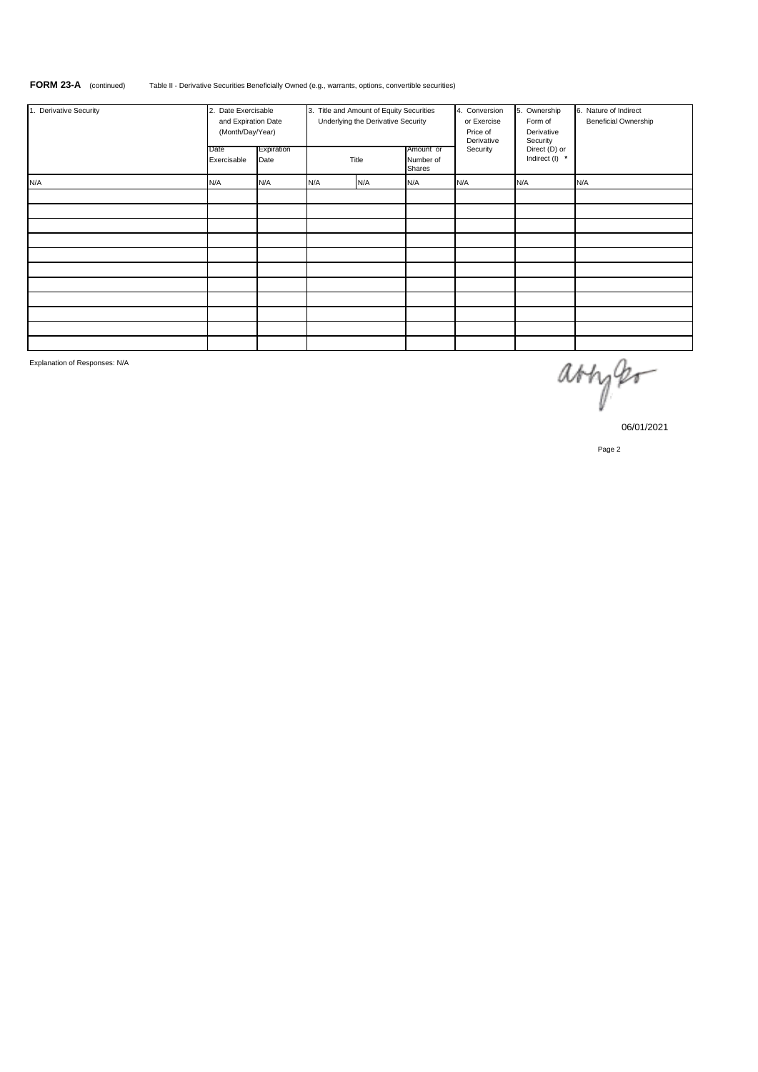# **FORM 23-A** (continued) Table II - Derivative Securities Beneficially Owned (e.g., warrants, options, convertible securities)

| 1. Derivative Security | 2. Date Exercisable<br>and Expiration Date<br>(Month/Day/Year)<br>Expiration<br>Date<br>Exercisable<br>Date |     | 3. Title and Amount of Equity Securities<br>Underlying the Derivative Security<br>Title |     | Amount or<br>Number of<br>Shares | 4. Conversion<br>or Exercise<br>Price of<br>Derivative<br>Security | 5. Ownership<br>Form of<br>Derivative<br>Security<br>Direct (D) or<br>Indirect (I) * | 6. Nature of Indirect<br><b>Beneficial Ownership</b> |
|------------------------|-------------------------------------------------------------------------------------------------------------|-----|-----------------------------------------------------------------------------------------|-----|----------------------------------|--------------------------------------------------------------------|--------------------------------------------------------------------------------------|------------------------------------------------------|
| N/A                    | N/A                                                                                                         | N/A | N/A                                                                                     | N/A | N/A                              | N/A                                                                | N/A                                                                                  | N/A                                                  |
|                        |                                                                                                             |     |                                                                                         |     |                                  |                                                                    |                                                                                      |                                                      |
|                        |                                                                                                             |     |                                                                                         |     |                                  |                                                                    |                                                                                      |                                                      |
|                        |                                                                                                             |     |                                                                                         |     |                                  |                                                                    |                                                                                      |                                                      |
|                        |                                                                                                             |     |                                                                                         |     |                                  |                                                                    |                                                                                      |                                                      |
|                        |                                                                                                             |     |                                                                                         |     |                                  |                                                                    |                                                                                      |                                                      |
|                        |                                                                                                             |     |                                                                                         |     |                                  |                                                                    |                                                                                      |                                                      |
|                        |                                                                                                             |     |                                                                                         |     |                                  |                                                                    |                                                                                      |                                                      |
|                        |                                                                                                             |     |                                                                                         |     |                                  |                                                                    |                                                                                      |                                                      |
|                        |                                                                                                             |     |                                                                                         |     |                                  |                                                                    |                                                                                      |                                                      |
|                        |                                                                                                             |     |                                                                                         |     |                                  |                                                                    |                                                                                      |                                                      |
|                        |                                                                                                             |     |                                                                                         |     |                                  |                                                                    |                                                                                      |                                                      |

Explanation of Responses: N/A

arryer

06/01/2021

Page 2